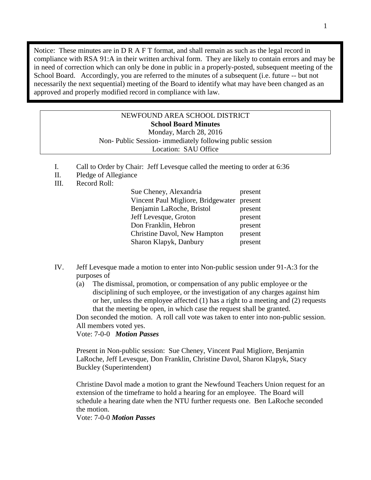Notice: These minutes are in D R A F T format, and shall remain as such as the legal record in compliance with RSA 91:A in their written archival form. They are likely to contain errors and may be in need of correction which can only be done in public in a properly-posted, subsequent meeting of the School Board. Accordingly, you are referred to the minutes of a subsequent (i.e. future -- but not necessarily the next sequential) meeting of the Board to identify what may have been changed as an approved and properly modified record in compliance with law.

## NEWFOUND AREA SCHOOL DISTRICT **School Board Minutes** Monday, March 28, 2016 Non- Public Session- immediately following public session Location: SAU Office

- I. Call to Order by Chair: Jeff Levesque called the meeting to order at 6:36
- II. Pledge of Allegiance
- III. Record Roll:

| Sue Cheney, Alexandria                     | present |
|--------------------------------------------|---------|
| Vincent Paul Migliore, Bridgewater present |         |
| Benjamin LaRoche, Bristol                  | present |
| Jeff Levesque, Groton                      | present |
| Don Franklin, Hebron                       | present |
| Christine Davol, New Hampton               | present |
| Sharon Klapyk, Danbury                     | present |
|                                            |         |

- IV. Jeff Levesque made a motion to enter into Non-public session under 91-A:3 for the purposes of
	- (a) The dismissal, promotion, or compensation of any public employee or the disciplining of such employee, or the investigation of any charges against him or her, unless the employee affected (1) has a right to a meeting and (2) requests that the meeting be open, in which case the request shall be granted.

Don seconded the motion. A roll call vote was taken to enter into non-public session. All members voted yes.

Vote: 7-0-0 *Motion Passes*

Present in Non-public session: Sue Cheney, Vincent Paul Migliore, Benjamin LaRoche, Jeff Levesque, Don Franklin, Christine Davol, Sharon Klapyk, Stacy Buckley (Superintendent)

Christine Davol made a motion to grant the Newfound Teachers Union request for an extension of the timeframe to hold a hearing for an employee. The Board will schedule a hearing date when the NTU further requests one. Ben LaRoche seconded the motion.

Vote: 7-0-0 *Motion Passes*